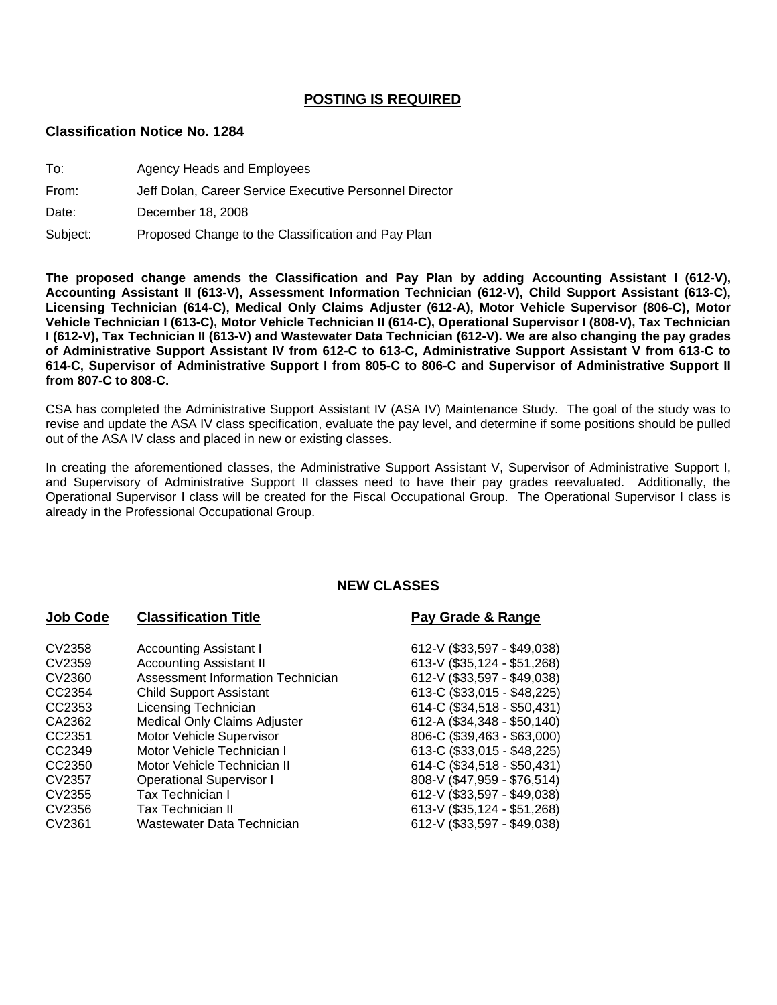### **POSTING IS REQUIRED**

### **Classification Notice No. 1284**

- To: Agency Heads and Employees
- From: Jeff Dolan, Career Service Executive Personnel Director

Date: December 18, 2008

Subject: Proposed Change to the Classification and Pay Plan

**The proposed change amends the Classification and Pay Plan by adding Accounting Assistant I (612-V), Accounting Assistant II (613-V), Assessment Information Technician (612-V), Child Support Assistant (613-C), Licensing Technician (614-C), Medical Only Claims Adjuster (612-A), Motor Vehicle Supervisor (806-C), Motor Vehicle Technician I (613-C), Motor Vehicle Technician II (614-C), Operational Supervisor I (808-V), Tax Technician I (612-V), Tax Technician II (613-V) and Wastewater Data Technician (612-V). We are also changing the pay grades of Administrative Support Assistant IV from 612-C to 613-C, Administrative Support Assistant V from 613-C to 614-C, Supervisor of Administrative Support I from 805-C to 806-C and Supervisor of Administrative Support II from 807-C to 808-C.** 

CSA has completed the Administrative Support Assistant IV (ASA IV) Maintenance Study. The goal of the study was to revise and update the ASA IV class specification, evaluate the pay level, and determine if some positions should be pulled out of the ASA IV class and placed in new or existing classes.

In creating the aforementioned classes, the Administrative Support Assistant V, Supervisor of Administrative Support I, and Supervisory of Administrative Support II classes need to have their pay grades reevaluated. Additionally, the Operational Supervisor I class will be created for the Fiscal Occupational Group. The Operational Supervisor I class is already in the Professional Occupational Group.

# **NEW CLASSES**

CV2359 Accounting Assistant II 613-V (\$35,124 - \$51,268) CV2360 Assessment Information Technician 612-V (\$33,597 - \$49,038) CC2354 Child Support Assistant 613-C (\$33,015 - \$48,225) CC2353 Licensing Technician 614-C (\$34,518 - \$50,431) CA2362 Medical Only Claims Adjuster 612-A (\$34,348 - \$50,140) CC2351 Motor Vehicle Supervisor 806-C (\$39,463 - \$63,000) CC2349 Motor Vehicle Technician I 613-C (\$33,015 - \$48,225) CC2350 Motor Vehicle Technician II 614-C (\$34,518 - \$50,431) CV2357 Operational Supervisor I 808-V (\$47,959 - \$76,514) CV2355 Tax Technician I 612-V (\$33,597 - \$49,038) CV2356 Tax Technician II 613-V (\$35,124 - \$51,268) CV2361 Wastewater Data Technician 612-V (\$33,597 - \$49,038)

### **Job Code Classification Title <b>Pay Grade & Range**

CV2358 Accounting Assistant I 612-V (\$33,597 - \$49,038)